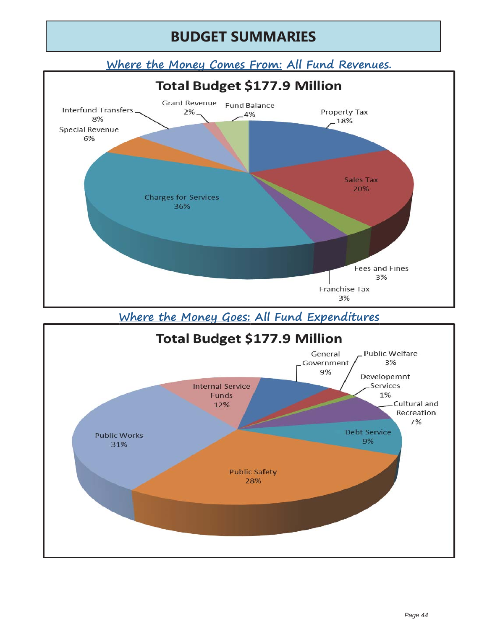# **BUDGET SUMMARIES**

#### **Where the Money Comes From: All Fund Revenues. y**



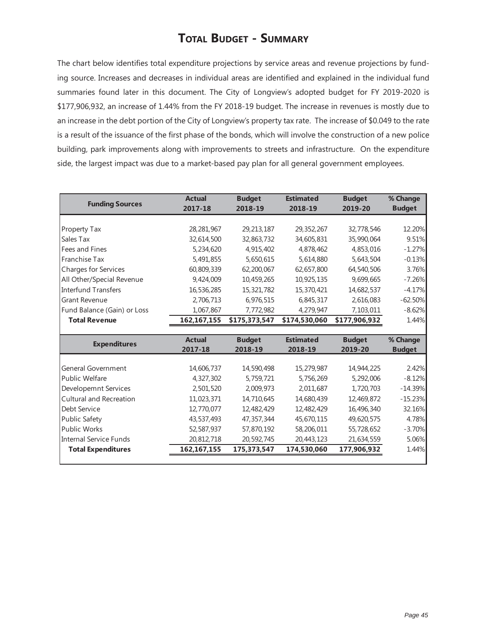#### **TOTAL BUDGET - SUMMARY**

The chart below identifies total expenditure projections by service areas and revenue projections by funding source. Increases and decreases in individual areas are identified and explained in the individual fund summaries found later in this document. The City of Longview's adopted budget for FY 2019-2020 is \$177,906,932, an increase of 1.44% from the FY 2018-19 budget. The increase in revenues is mostly due to an increase in the debt portion of the City of Longview's property tax rate. The increase of \$0.049 to the rate is a result of the issuance of the first phase of the bonds, which will involve the construction of a new police building, park improvements along with improvements to streets and infrastructure. On the expenditure side, the largest impact was due to a market-based pay plan for all general government employees.

| 2017-18       | 2018-19                 | 2018-19                 |                         |                         |
|---------------|-------------------------|-------------------------|-------------------------|-------------------------|
|               |                         |                         | 2019-20                 | <b>Budget</b>           |
|               |                         |                         |                         |                         |
| 28, 281, 967  | 29, 213, 187            | 29, 352, 267            | 32,778,546              | 12.20%                  |
| 32,614,500    | 32,863,732              | 34,605,831              | 35,990,064              | 9.51%                   |
| 5,234,620     | 4,915,402               | 4,878,462               | 4,853,016               | $-1.27%$                |
| 5,491,855     | 5,650,615               | 5,614,880               | 5,643,504               | $-0.13%$                |
| 60,809,339    | 62,200,067              | 62,657,800              | 64,540,506              | 3.76%                   |
| 9,424,009     | 10,459,265              | 10,925,135              | 9,699,665               | $-7.26%$                |
| 16,536,285    | 15,321,782              | 15,370,421              | 14,682,537              | $-4.17%$                |
| 2,706,713     | 6,976,515               | 6,845,317               | 2,616,083               | $-62.50%$               |
| 1,067,867     | 7,772,982               | 4,279,947               | 7,103,011               | $-8.62%$                |
| 162,167,155   | \$175,373,547           | \$174,530,060           | \$177,906,932           | 1.44%                   |
|               |                         |                         |                         |                         |
| <b>Actual</b> | <b>Budget</b>           | <b>Estimated</b>        | <b>Budget</b>           | % Change                |
| 2017-18       | 2018-19                 | 2018-19                 | 2019-20                 | <b>Budget</b>           |
|               |                         |                         |                         |                         |
|               |                         |                         |                         | 2.42%                   |
|               |                         |                         |                         | $-8.12%$                |
| 2,501,520     | 2,009,973               | 2,011,687               | 1,720,703               | $-14.39%$               |
| 11,023,371    | 14,710,645              | 14,680,439              | 12,469,872              | $-15.23%$               |
| 12,770,077    | 12,482,429              | 12,482,429              | 16,496,340              | 32.16%                  |
| 43,537,493    | 47,357,344              | 45,670,115              | 49,620,575              | 4.78%                   |
|               |                         |                         |                         |                         |
| 52,587,937    | 57,870,192              | 58,206,011              | 55,728,652              | $-3.70%$                |
| 20,812,718    | 20,592,745              | 20,443,123              | 21,634,559              | 5.06%                   |
|               | 14,606,737<br>4,327,302 | 14,590,498<br>5,759,721 | 15,279,987<br>5,756,269 | 14,944,225<br>5,292,006 |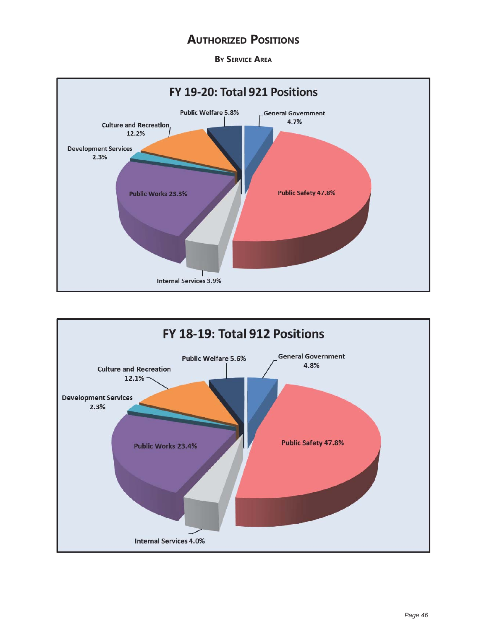#### **AUTHORIZED POSITIONS**

**BY SERVICE AREA**



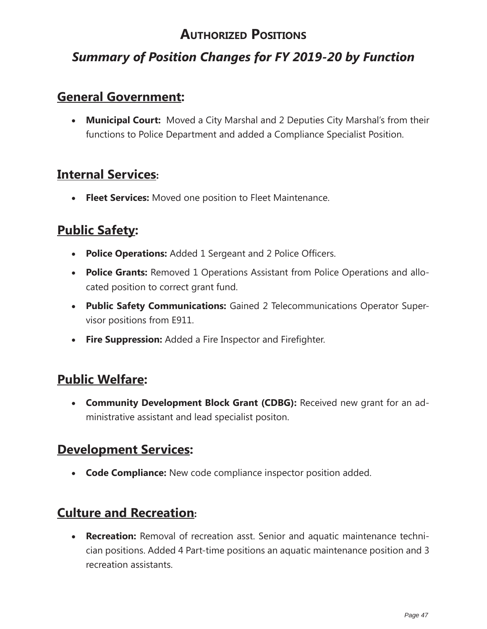## **AUTHORIZED POSITIONS**

## *Summary of Position Changes for FY 2019-20 by Function*

## **General Government:**

• **Municipal Court:** Moved a City Marshal and 2 Deputies City Marshal's from their functions to Police Department and added a Compliance Specialist Position.

#### **Internal Services:**

**Fleet Services:** Moved one position to Fleet Maintenance.

## **Public Safety:**

- **Police Operations:** Added 1 Sergeant and 2 Police Officers.
- **Police Grants:** Removed 1 Operations Assistant from Police Operations and allocated position to correct grant fund.
- **Public Safety Communications:** Gained 2 Telecommunications Operator Supervisor positions from E911.
- **Fire Suppression:** Added a Fire Inspector and Firefighter.

## **Public Welfare:**

**• Community Development Block Grant (CDBG):** Received new grant for an administrative assistant and lead specialist positon.

## **Development Services:**

**Code Compliance:** New code compliance inspector position added.

## **Culture and Recreation:**

**Recreation:** Removal of recreation asst. Senior and aquatic maintenance technician positions. Added 4 Part-time positions an aquatic maintenance position and 3 recreation assistants.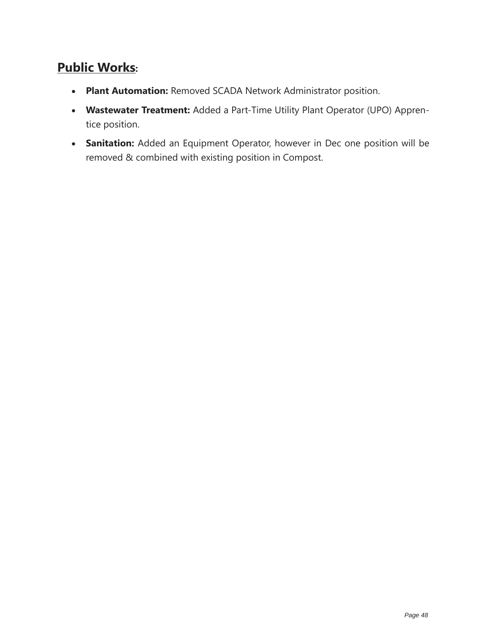## **Public Works:**

- **Plant Automation:** Removed SCADA Network Administrator position.
- **Wastewater Treatment:** Added a Part-Time Utility Plant Operator (UPO) Apprentice position.
- **Sanitation:** Added an Equipment Operator, however in Dec one position will be removed & combined with existing position in Compost.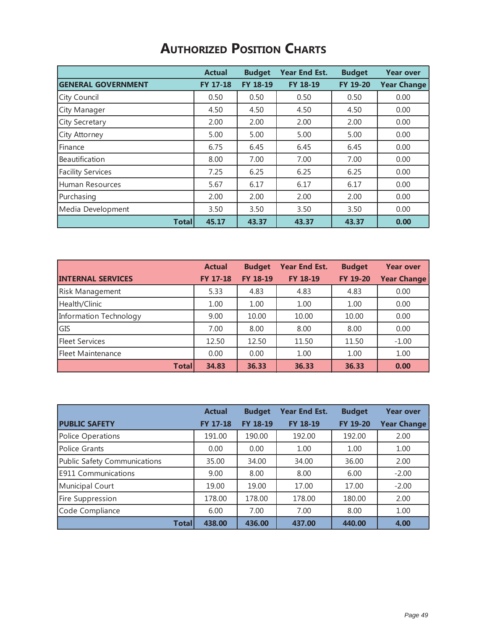| <b>AUTHORIZED POSITION CHARTS</b> |  |  |
|-----------------------------------|--|--|
|-----------------------------------|--|--|

|                           | <b>Actual</b>   | <b>Budget</b>   | <b>Year End Est.</b> | <b>Budget</b> | <b>Year over</b>   |
|---------------------------|-----------------|-----------------|----------------------|---------------|--------------------|
| <b>GENERAL GOVERNMENT</b> | <b>FY 17-18</b> | <b>FY 18-19</b> | <b>FY 18-19</b>      | FY 19-20      | <b>Year Change</b> |
| City Council              | 0.50            | 0.50            | 0.50                 | 0.50          | 0.00               |
| City Manager              | 4.50            | 4.50            | 4.50                 | 4.50          | 0.00               |
| City Secretary            | 2.00            | 2.00            | 2.00                 | 2.00          | 0.00               |
| City Attorney             | 5.00            | 5.00            | 5.00                 | 5.00          | 0.00               |
| Finance                   | 6.75            | 6.45            | 6.45                 | 6.45          | 0.00               |
| <b>Beautification</b>     | 8.00            | 7.00            | 7.00                 | 7.00          | 0.00               |
| <b>Facility Services</b>  | 7.25            | 6.25            | 6.25                 | 6.25          | 0.00               |
| Human Resources           | 5.67            | 6.17            | 6.17                 | 6.17          | 0.00               |
| Purchasing                | 2.00            | 2.00            | 2.00                 | 2.00          | 0.00               |
| Media Development         | 3.50            | 3.50            | 3.50                 | 3.50          | 0.00               |
| <b>Totall</b>             | 45.17           | 43.37           | 43.37                | 43.37         | 0.00               |

|                          | <b>Actual</b> | <b>Budget</b> | <b>Year End Est.</b> | <b>Budget</b> | <b>Year over</b>   |
|--------------------------|---------------|---------------|----------------------|---------------|--------------------|
| <b>INTERNAL SERVICES</b> | FY 17-18      | FY 18-19      | FY 18-19             | FY 19-20      | <b>Year Change</b> |
| <b>Risk Management</b>   | 5.33          | 4.83          | 4.83                 | 4.83          | 0.00               |
| Health/Clinic            | 1.00          | 1.00          | 1.00                 | 1.00          | 0.00               |
| Information Technology   | 9.00          | 10.00         | 10.00                | 10.00         | 0.00               |
| GIS                      | 7.00          | 8.00          | 8.00                 | 8.00          | 0.00               |
| <b>Fleet Services</b>    | 12.50         | 12.50         | 11.50                | 11.50         | $-1.00$            |
| Fleet Maintenance        | 0.00          | 0.00          | 1.00                 | 1.00          | 1.00               |
| <b>Total</b>             | 34.83         | 36.33         | 36.33                | 36.33         | 0.00               |

|                              | <b>Actual</b>   | <b>Budget</b>   | <b>Year End Est.</b> | <b>Budget</b>   | <b>Year over</b>   |
|------------------------------|-----------------|-----------------|----------------------|-----------------|--------------------|
| <b>PUBLIC SAFETY</b>         | <b>FY 17-18</b> | <b>FY 18-19</b> | <b>FY 18-19</b>      | <b>FY 19-20</b> | <b>Year Change</b> |
| Police Operations            | 191.00          | 190.00          | 192.00               | 192.00          | 2.00               |
| Police Grants                | 0.00            | 0.00            | 1.00                 | 1.00            | 1.00               |
| Public Safety Communications | 35.00           | 34.00           | 34.00                | 36.00           | 2.00               |
| <b>E911 Communications</b>   | 9.00            | 8.00            | 8.00                 | 6.00            | $-2.00$            |
| Municipal Court              | 19.00           | 19.00           | 17.00                | 17.00           | $-2.00$            |
| Fire Suppression             | 178.00          | 178.00          | 178.00               | 180.00          | 2.00               |
| Code Compliance              | 6.00            | 7.00            | 7.00                 | 8.00            | 1.00               |
| Total                        | 438.00          | 436.00          | 437.00               | 440.00          | 4.00               |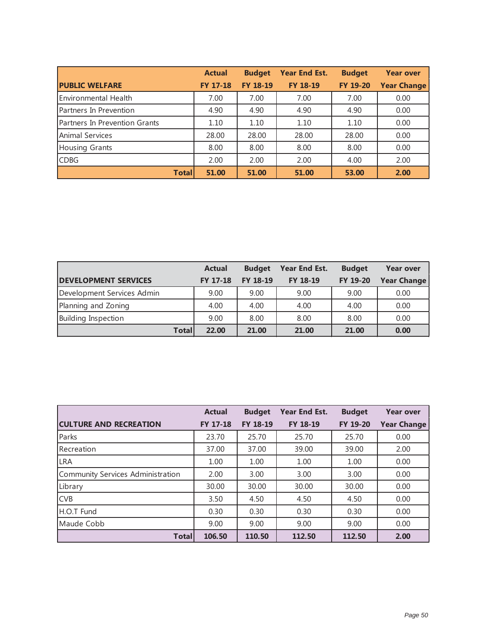|                               | <b>Actual</b>   | <b>Budget</b>   | <b>Year End Est.</b> | <b>Budget</b> | <b>Year over</b>   |
|-------------------------------|-----------------|-----------------|----------------------|---------------|--------------------|
| <b>PUBLIC WELFARE</b>         | <b>FY 17-18</b> | <b>FY 18-19</b> | FY 18-19             | FY 19-20      | <b>Year Change</b> |
| Environmental Health          | 7.00            | 7.00            | 7.00                 | 7.00          | 0.00               |
| Partners In Prevention        | 4.90            | 4.90            | 4.90                 | 4.90          | 0.00               |
| Partners In Prevention Grants | 1.10            | 1.10            | 1.10                 | 1.10          | 0.00               |
| <b>Animal Services</b>        | 28.00           | 28.00           | 28.00                | 28.00         | 0.00               |
| Housing Grants                | 8.00            | 8.00            | 8.00                 | 8.00          | 0.00               |
| <b>CDBG</b>                   | 2.00            | 2.00            | 2.00                 | 4.00          | 2.00               |
| <b>Totall</b>                 | 51.00           | 51.00           | 51.00                | 53.00         | 2.00               |

|                             | <b>Actual</b>   | <b>Budget</b>   | Year End Est. | <b>Budget</b> | <b>Year over</b>   |
|-----------------------------|-----------------|-----------------|---------------|---------------|--------------------|
| <b>DEVELOPMENT SERVICES</b> | <b>FY 17-18</b> | <b>FY 18-19</b> | FY 18-19      | FY 19-20      | <b>Year Change</b> |
| Development Services Admin  | 9.00            | 9.00            | 9.00          | 9.00          | 0.00               |
| Planning and Zoning         | 4.00            | 4.00            | 4.00          | 4.00          | 0.00               |
| Building Inspection         | 9.00            | 8.00            | 8.00          | 8.00          | 0.00               |
| Totall                      | 22.00           | 21.00           | 21.00         | 21.00         | 0.00               |

|                                   | <b>Actual</b>   | <b>Budget</b>   | Year End Est.   | <b>Budget</b> | <b>Year over</b>   |
|-----------------------------------|-----------------|-----------------|-----------------|---------------|--------------------|
| <b>CULTURE AND RECREATION</b>     | <b>FY 17-18</b> | <b>FY 18-19</b> | <b>FY 18-19</b> | FY 19-20      | <b>Year Change</b> |
| Parks                             | 23.70           | 25.70           | 25.70           | 25.70         | 0.00               |
| Recreation                        | 37.00           | 37.00           | 39.00           | 39.00         | 2.00               |
| <b>LRA</b>                        | 1.00            | 1.00            | 1.00            | 1.00          | 0.00               |
| Community Services Administration | 2.00            | 3.00            | 3.00            | 3.00          | 0.00               |
| Library                           | 30.00           | 30.00           | 30.00           | 30.00         | 0.00               |
| <b>CVB</b>                        | 3.50            | 4.50            | 4.50            | 4.50          | 0.00               |
| H.O.T Fund                        | 0.30            | 0.30            | 0.30            | 0.30          | 0.00               |
| Maude Cobb                        | 9.00            | 9.00            | 9.00            | 9.00          | 0.00               |
| <b>Total</b>                      | 106.50          | 110.50          | 112.50          | 112.50        | 2.00               |